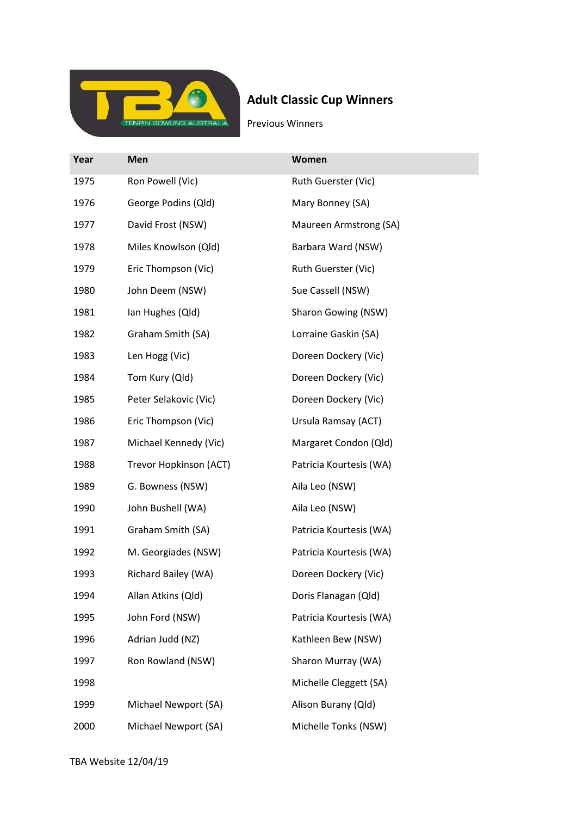

## Adult Classic Cup Winners

Previous Winners

| Year | Men                    | <b>Women</b>            |
|------|------------------------|-------------------------|
| 1975 | Ron Powell (Vic)       | Ruth Guerster (Vic)     |
| 1976 | George Podins (Qld)    | Mary Bonney (SA)        |
| 1977 | David Frost (NSW)      | Maureen Armstrong (SA)  |
| 1978 | Miles Knowlson (Qld)   | Barbara Ward (NSW)      |
| 1979 | Eric Thompson (Vic)    | Ruth Guerster (Vic)     |
| 1980 | John Deem (NSW)        | Sue Cassell (NSW)       |
| 1981 | Ian Hughes (Qld)       | Sharon Gowing (NSW)     |
| 1982 | Graham Smith (SA)      | Lorraine Gaskin (SA)    |
| 1983 | Len Hogg (Vic)         | Doreen Dockery (Vic)    |
| 1984 | Tom Kury (Qld)         | Doreen Dockery (Vic)    |
| 1985 | Peter Selakovic (Vic)  | Doreen Dockery (Vic)    |
| 1986 | Eric Thompson (Vic)    | Ursula Ramsay (ACT)     |
| 1987 | Michael Kennedy (Vic)  | Margaret Condon (Qld)   |
| 1988 | Trevor Hopkinson (ACT) | Patricia Kourtesis (WA) |
| 1989 | G. Bowness (NSW)       | Aila Leo (NSW)          |
| 1990 | John Bushell (WA)      | Aila Leo (NSW)          |
| 1991 | Graham Smith (SA)      | Patricia Kourtesis (WA) |
| 1992 | M. Georgiades (NSW)    | Patricia Kourtesis (WA) |
| 1993 | Richard Bailey (WA)    | Doreen Dockery (Vic)    |
| 1994 | Allan Atkins (Qld)     | Doris Flanagan (Qld)    |
| 1995 | John Ford (NSW)        | Patricia Kourtesis (WA) |
| 1996 | Adrian Judd (NZ)       | Kathleen Bew (NSW)      |
| 1997 | Ron Rowland (NSW)      | Sharon Murray (WA)      |
| 1998 |                        | Michelle Cleggett (SA)  |
| 1999 | Michael Newport (SA)   | Alison Burany (Qld)     |
| 2000 | Michael Newport (SA)   | Michelle Tonks (NSW)    |